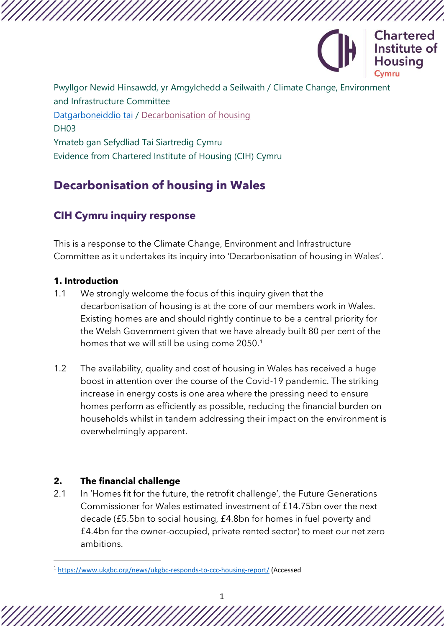

Pwyllgor Newid Hinsawdd, yr Amgylchedd a Seilwaith / Climate Change, Environment and Infrastructure Committee [Datgarboneiddio tai](https://busnes.senedd.cymru/mgIssueHistoryHome.aspx?IId=39102) / [Decarbonisation of housing](https://business.senedd.wales/mgIssueHistoryHome.aspx?IId=39102) DH03 Ymateb gan Sefydliad Tai Siartredig Cymru Evidence from Chartered Institute of Housing (CIH) Cymru

# **Decarbonisation of housing in Wales**

## **CIH Cymru inquiry response**

This is a response to the Climate Change, Environment and Infrastructure Committee as it undertakes its inquiry into 'Decarbonisation of housing in Wales'.

## **1. Introduction**

- 1.1 We strongly welcome the focus of this inquiry given that the decarbonisation of housing is at the core of our members work in Wales. Existing homes are and should rightly continue to be a central priority for the Welsh Government given that we have already built 80 per cent of the homes that we will still be using come 2050.<sup>1</sup>
- 1.2 The availability, quality and cost of housing in Wales has received a huge boost in attention over the course of the Covid-19 pandemic. The striking increase in energy costs is one area where the pressing need to ensure homes perform as efficiently as possible, reducing the financial burden on households whilst in tandem addressing their impact on the environment is overwhelmingly apparent.

## **2. The financial challenge**

2.1 In 'Homes fit for the future, the retrofit challenge', the Future Generations Commissioner for Wales estimated investment of £14.75bn over the next decade (£5.5bn to social housing, £4.8bn for homes in fuel poverty and £4.4bn for the owner-occupied, private rented sector) to meet our net zero ambitions.

<sup>1</sup> <https://www.ukgbc.org/news/ukgbc-responds-to-ccc-housing-report/> (Accessed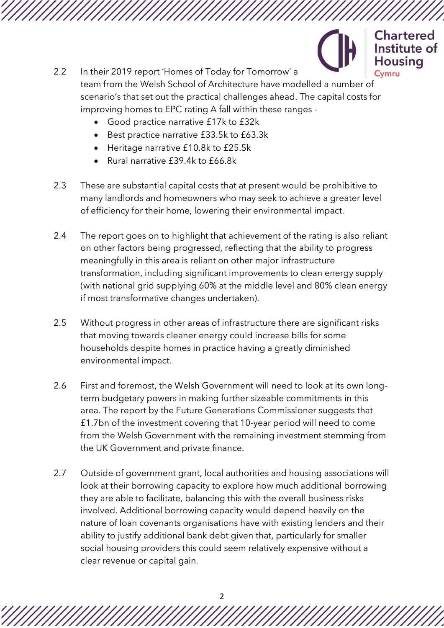

2.2 In their 2019 report 'Homes of Today for Tomorrow' a Cymru team from the Welsh School of Architecture have modelled a number of scenario's that set out the practical challenges ahead. The capital costs for improving homes to EPC rating A fall within these ranges -

- Good practice narrative £17k to £32k
- Best practice narrative £33.5k to £63.3k
- Heritage narrative £10.8k to £25.5k
- Rural narrative £39.4k to £66.8k
- 2.3 These are substantial capital costs that at present would be prohibitive to many landlords and homeowners who may seek to achieve a greater level of efficiency for their home, lowering their environmental impact.
- 2.4 The report goes on to highlight that achievement of the rating is also reliant on other factors being progressed, reflecting that the ability to progress meaningfully in this area is reliant on other major infrastructure transformation, including significant improvements to clean energy supply (with national grid supplying 60% at the middle level and 80% clean energy if most transformative changes undertaken).
- 2.5 Without progress in other areas of infrastructure there are significant risks that moving towards cleaner energy could increase bills for some households despite homes in practice having a greatly diminished environmental impact.
- 2.6 First and foremost, the Welsh Government will need to look at its own longterm budgetary powers in making further sizeable commitments in this area. The report by the Future Generations Commissioner suggests that £1.7bn of the investment covering that 10-year period will need to come from the Welsh Government with the remaining investment stemming from the UK Government and private finance.
- 2.7 Outside of government grant, local authorities and housing associations will look at their borrowing capacity to explore how much additional borrowing they are able to facilitate, balancing this with the overall business risks involved. Additional borrowing capacity would depend heavily on the nature of loan covenants organisations have with existing lenders and their ability to justify additional bank debt given that, particularly for smaller social housing providers this could seem relatively expensive without a clear revenue or capital gain.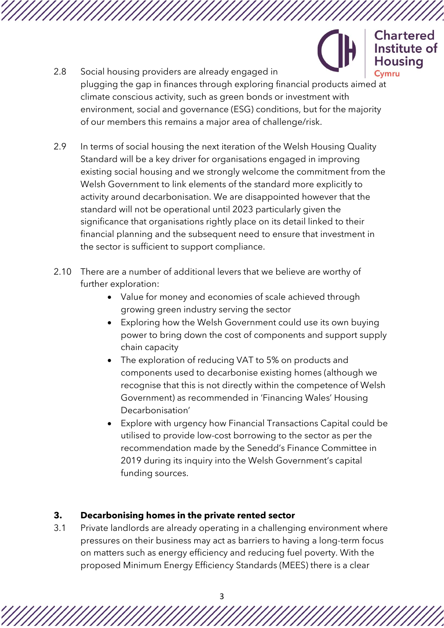Housina 2.8 Social housing providers are already engaged in plugging the gap in finances through exploring financial products aimed at climate conscious activity, such as green bonds or investment with environment, social and governance (ESG) conditions, but for the majority of our members this remains a major area of challenge/risk.

**Chartered** Institute of

- 2.9 In terms of social housing the next iteration of the Welsh Housing Quality Standard will be a key driver for organisations engaged in improving existing social housing and we strongly welcome the commitment from the Welsh Government to link elements of the standard more explicitly to activity around decarbonisation. We are disappointed however that the standard will not be operational until 2023 particularly given the significance that organisations rightly place on its detail linked to their financial planning and the subsequent need to ensure that investment in the sector is sufficient to support compliance.
- 2.10 There are a number of additional levers that we believe are worthy of further exploration:
	- Value for money and economies of scale achieved through growing green industry serving the sector
	- Exploring how the Welsh Government could use its own buying power to bring down the cost of components and support supply chain capacity
	- The exploration of reducing VAT to 5% on products and components used to decarbonise existing homes (although we recognise that this is not directly within the competence of Welsh Government) as recommended in 'Financing Wales' Housing Decarbonisation'
	- Explore with urgency how Financial Transactions Capital could be utilised to provide low-cost borrowing to the sector as per the recommendation made by the Senedd's Finance Committee in 2019 during its inquiry into the Welsh Government's capital funding sources.

#### **3. Decarbonising homes in the private rented sector**

3.1 Private landlords are already operating in a challenging environment where pressures on their business may act as barriers to having a long-term focus on matters such as energy efficiency and reducing fuel poverty. With the proposed Minimum Energy Efficiency Standards (MEES) there is a clear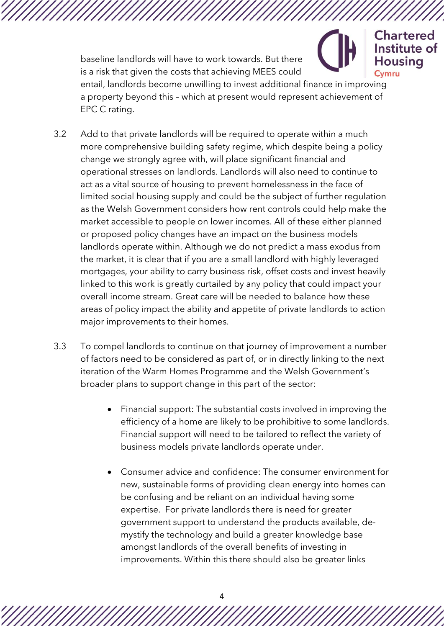baseline landlords will have to work towards. But there Housina is a risk that given the costs that achieving MEES could Cymru entail, landlords become unwilling to invest additional finance in improving a property beyond this – which at present would represent achievement of EPC C rating.

**Chartered** Institute of

- 3.2 Add to that private landlords will be required to operate within a much more comprehensive building safety regime, which despite being a policy change we strongly agree with, will place significant financial and operational stresses on landlords. Landlords will also need to continue to act as a vital source of housing to prevent homelessness in the face of limited social housing supply and could be the subject of further regulation as the Welsh Government considers how rent controls could help make the market accessible to people on lower incomes. All of these either planned or proposed policy changes have an impact on the business models landlords operate within. Although we do not predict a mass exodus from the market, it is clear that if you are a small landlord with highly leveraged mortgages, your ability to carry business risk, offset costs and invest heavily linked to this work is greatly curtailed by any policy that could impact your overall income stream. Great care will be needed to balance how these areas of policy impact the ability and appetite of private landlords to action major improvements to their homes.
- 3.3 To compel landlords to continue on that journey of improvement a number of factors need to be considered as part of, or in directly linking to the next iteration of the Warm Homes Programme and the Welsh Government's broader plans to support change in this part of the sector:
	- Financial support: The substantial costs involved in improving the efficiency of a home are likely to be prohibitive to some landlords. Financial support will need to be tailored to reflect the variety of business models private landlords operate under.
	- Consumer advice and confidence: The consumer environment for new, sustainable forms of providing clean energy into homes can be confusing and be reliant on an individual having some expertise. For private landlords there is need for greater government support to understand the products available, demystify the technology and build a greater knowledge base amongst landlords of the overall benefits of investing in improvements. Within this there should also be greater links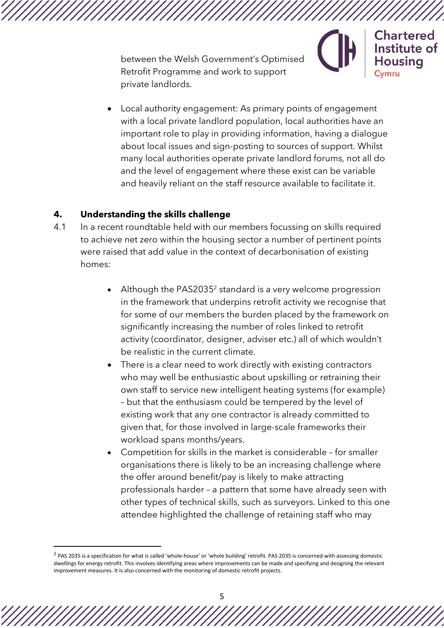between the Welsh Government's Optimised Retrofit Programme and work to support private landlords.

• Local authority engagement: As primary points of engagement with a local private landlord population, local authorities have an important role to play in providing information, having a dialogue about local issues and sign-posting to sources of support. Whilst many local authorities operate private landlord forums, not all do and the level of engagement where these exist can be variable and heavily reliant on the staff resource available to facilitate it.

Chartered Institute of

#### **4. Understanding the skills challenge**

- 4.1 In a recent roundtable held with our members focussing on skills required to achieve net zero within the housing sector a number of pertinent points were raised that add value in the context of decarbonisation of existing homes:
	- Although the PAS2035<sup>2</sup> standard is a very welcome progression in the framework that underpins retrofit activity we recognise that for some of our members the burden placed by the framework on significantly increasing the number of roles linked to retrofit activity (coordinator, designer, adviser etc.) all of which wouldn't be realistic in the current climate.
	- There is a clear need to work directly with existing contractors who may well be enthusiastic about upskilling or retraining their own staff to service new intelligent heating systems (for example) – but that the enthusiasm could be tempered by the level of existing work that any one contractor is already committed to given that, for those involved in large-scale frameworks their workload spans months/years.
	- Competition for skills in the market is considerable for smaller organisations there is likely to be an increasing challenge where the offer around benefit/pay is likely to make attracting professionals harder – a pattern that some have already seen with other types of technical skills, such as surveyors. Linked to this one attendee highlighted the challenge of retaining staff who may

 $^2$  PAS 2035 is a specification for what is called 'whole-house' or 'whole building' retrofit. PAS 2035 is concerned with assessing domestic dwellings for energy retrofit. This involves identifying areas where improvements can be made and specifying and designing the relevant improvement measures. It is also concerned with the monitoring of domestic retrofit projects.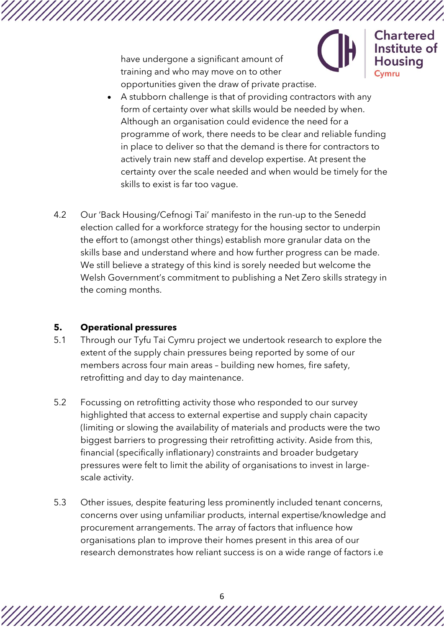have undergone a significant amount of training and who may move on to other opportunities given the draw of private practise.



**Chartered** Institute of usina

- A stubborn challenge is that of providing contractors with any form of certainty over what skills would be needed by when. Although an organisation could evidence the need for a programme of work, there needs to be clear and reliable funding in place to deliver so that the demand is there for contractors to actively train new staff and develop expertise. At present the certainty over the scale needed and when would be timely for the skills to exist is far too vague.
- 4.2 Our 'Back Housing/Cefnogi Tai' manifesto in the run-up to the Senedd election called for a workforce strategy for the housing sector to underpin the effort to (amongst other things) establish more granular data on the skills base and understand where and how further progress can be made. We still believe a strategy of this kind is sorely needed but welcome the Welsh Government's commitment to publishing a Net Zero skills strategy in the coming months.

#### **5. Operational pressures**

- 5.1 Through our Tyfu Tai Cymru project we undertook research to explore the extent of the supply chain pressures being reported by some of our members across four main areas – building new homes, fire safety, retrofitting and day to day maintenance.
- 5.2 Focussing on retrofitting activity those who responded to our survey highlighted that access to external expertise and supply chain capacity (limiting or slowing the availability of materials and products were the two biggest barriers to progressing their retrofitting activity. Aside from this, financial (specifically inflationary) constraints and broader budgetary pressures were felt to limit the ability of organisations to invest in largescale activity.
- 5.3 Other issues, despite featuring less prominently included tenant concerns, concerns over using unfamiliar products, internal expertise/knowledge and procurement arrangements. The array of factors that influence how organisations plan to improve their homes present in this area of our research demonstrates how reliant success is on a wide range of factors i.e